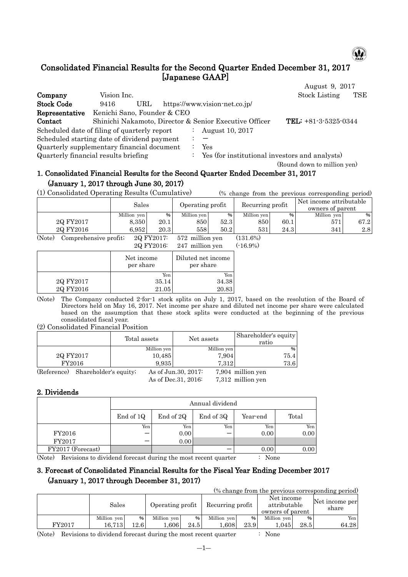

# Consolidated Financial Results for the Second Quarter Ended December 31, 2017 [Japanese GAAP]

|                                              |                             |     |  |                                                        | August 9, 2017              |     |
|----------------------------------------------|-----------------------------|-----|--|--------------------------------------------------------|-----------------------------|-----|
| Company                                      | Vision Inc.                 |     |  |                                                        | <b>Stock Listing</b>        | TSE |
| <b>Stock Code</b>                            | 9416                        | URL |  | https://www.vision-net.co.jp/                          |                             |     |
| Representative                               | Kenichi Sano, Founder & CEO |     |  |                                                        |                             |     |
| Contact                                      |                             |     |  | Shinichi Nakamoto, Director & Senior Executive Officer | TEL: $+81-3-5325-0344$      |     |
| Scheduled date of filing of quarterly report |                             |     |  | August 10, 2017                                        |                             |     |
| Scheduled starting date of dividend payment  |                             |     |  |                                                        |                             |     |
| Quarterly supplementary financial document   |                             |     |  | Yes                                                    |                             |     |
| Quarterly financial results briefing         |                             |     |  | : Yes (for institutional investors and analysts)       |                             |     |
|                                              |                             |     |  |                                                        | (Round down to million yen) |     |

## 1. Consolidated Financial Results for the Second Quarter Ended December 31, 2017 (January 1, 2017 through June 30, 2017)

(1) Consolidated Operating Results (Cumulative) (% change from the previous corresponding period)

|           | Sales       |      | Operating profit |      | Recurring profit |               | Net income attributable<br>owners of parent |       |
|-----------|-------------|------|------------------|------|------------------|---------------|---------------------------------------------|-------|
|           | Million yen | %    | Million ven      | %    | Million yen      | $\frac{9}{6}$ | Million yen                                 | 961   |
| 2Q FY2017 | 8.350       | 20.1 | 8501             | 52.3 | 850              | 60.1          | 571                                         | 67.21 |
| 2Q FY2016 | 6.952       | 20.3 | 558              | 50.2 | 531              | 24.3          | 341                                         | 2.8   |

(Note) Comprehensive profit;  $2Q FY2017$ : 572 million yen (131.6%)  $247$  million yen  $(-16.9%)$ 

|           | 20 F 1 2010.            | $241$ Initiation ven            |
|-----------|-------------------------|---------------------------------|
|           | Net income<br>per share | Diluted net income<br>per share |
|           | Yen                     | Yen                             |
| 2Q FY2017 | 35.14                   | 34.38                           |
| 2Q FY2016 | 21.05                   | 20.83                           |
|           |                         |                                 |

(Note) The Company conducted 2-for-1 stock splits on July 1, 2017, based on the resolution of the Board of Directors held on May 16, 2017. Net income per share and diluted net income per share were calculated based on the assumption that these stock splits were conducted at the beginning of the previous consolidated fiscal year.

(2) Consolidated Financial Position

Τ

|                                   | Total assets |             | Net assets           |             | Shareholder's equity<br>ratio |
|-----------------------------------|--------------|-------------|----------------------|-------------|-------------------------------|
|                                   |              | Million yen |                      | Million yen | $\%$                          |
| 2Q FY2017                         |              | 10,485      |                      | 7,904       | 75.4                          |
| FY2016                            |              | 9,935       |                      | 7.312       | 73.6                          |
| (Reference) Shareholder's equity; |              |             | As of Jun. 30, 2017: |             | 7,904 million yen             |
|                                   |              |             | As of Dec. 31, 2016: |             | 7,312 million yen             |

### 2. Dividends

|                   |           | Annual dividend |           |          |       |  |  |  |  |
|-------------------|-----------|-----------------|-----------|----------|-------|--|--|--|--|
|                   | End of 1Q | End of 2Q       | End of 3Q | Year-end | Total |  |  |  |  |
|                   | Yen       | Yen             | Yen       | Yen      | Yen   |  |  |  |  |
| FY2016            |           | 0.00            |           | 0.00     | 0.00  |  |  |  |  |
| FY2017            |           | 0.00            |           |          |       |  |  |  |  |
| FY2017 (Forecast) |           |                 |           | 0.00     | 0.00  |  |  |  |  |

(Note) Revisions to dividend forecast during the most recent quarter : None

### 3. Forecast of Consolidated Financial Results for the Fiscal Year Ending December 2017 (January 1, 2017 through December 31, 2017)

|     |     | (% change from the previous corresponding period) |                |
|-----|-----|---------------------------------------------------|----------------|
| $-$ | $-$ | Net income                                        | Net income per |

|        | Sales       |       | Operating profit |      | Recurring profit |      | THE THROTHE<br>attributable<br>owners of parent |               | Net income per<br>share |
|--------|-------------|-------|------------------|------|------------------|------|-------------------------------------------------|---------------|-------------------------|
|        | Million ven | %     | Million ven      | %    | Million ven      | %    | Million yen                                     | $\frac{9}{6}$ | Yen                     |
| FY2017 | 16.713      | 12.61 | 0.606            | 24.5 | 0.608            | 23.9 | .045                                            | 28.5          | 64.28                   |

(Note) Revisions to dividend forecast during the most recent quarter : None